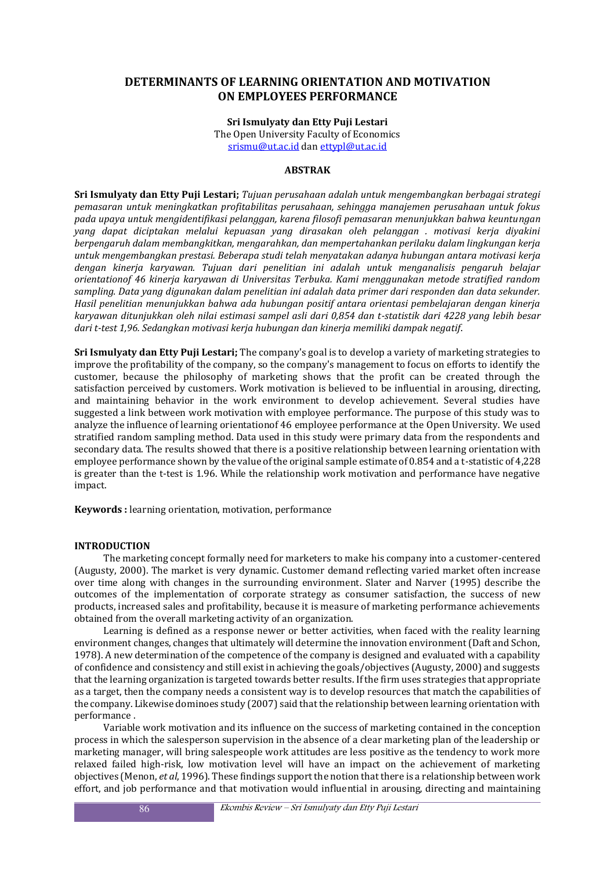# **DETERMINANTS OF LEARNING ORIENTATION AND MOTIVATION ON EMPLOYEES PERFORMANCE**

**Sri Ismulyaty dan Etty Puji Lestari**  The Open University Faculty of Economics srismu@ut.ac.id dan ettypl@ut.ac.id

## **ABSTRAK**

**Sri Ismulyaty dan Etty Puji Lestari;** *Tujuan perusahaan adalah untuk mengembangkan berbagai strategi pemasaran untuk meningkatkan profitabilitas perusahaan, sehingga manajemen perusahaan untuk fokus pada upaya untuk mengidentifikasi pelanggan, karena filosofi pemasaran menunjukkan bahwa keuntungan yang dapat diciptakan melalui kepuasan yang dirasakan oleh pelanggan . motivasi kerja diyakini berpengaruh dalam membangkitkan, mengarahkan, dan mempertahankan perilaku dalam lingkungan kerja untuk mengembangkan prestasi. Beberapa studi telah menyatakan adanya hubungan antara motivasi kerja dengan kinerja karyawan. Tujuan dari penelitian ini adalah untuk menganalisis pengaruh belajar orientationof 46 kinerja karyawan di Universitas Terbuka. Kami menggunakan metode stratified random sampling. Data yang digunakan dalam penelitian ini adalah data primer dari responden dan data sekunder. Hasil penelitian menunjukkan bahwa ada hubungan positif antara orientasi pembelajaran dengan kinerja karyawan ditunjukkan oleh nilai estimasi sampel asli dari 0,854 dan t-statistik dari 4228 yang lebih besar dari t-test 1,96. Sedangkan motivasi kerja hubungan dan kinerja memiliki dampak negatif*.

**Sri Ismulyaty dan Etty Puji Lestari;** The company's goal is to develop a variety of marketing strategies to improve the profitability of the company, so the company's management to focus on efforts to identify the customer, because the philosophy of marketing shows that the profit can be created through the satisfaction perceived by customers. Work motivation is believed to be influential in arousing, directing, and maintaining behavior in the work environment to develop achievement. Several studies have suggested a link between work motivation with employee performance. The purpose of this study was to analyze the influence of learning orientationof 46 employee performance at the Open University. We used stratified random sampling method. Data used in this study were primary data from the respondents and secondary data. The results showed that there is a positive relationship between learning orientation with employee performance shown by the value of the original sample estimate of 0.854 and a t-statistic of 4,228 is greater than the t-test is 1.96. While the relationship work motivation and performance have negative impact.

**Keywords :** learning orientation, motivation, performance

#### **INTRODUCTION**

The marketing concept formally need for marketers to make his company into a customer-centered (Augusty, 2000). The market is very dynamic. Customer demand reflecting varied market often increase over time along with changes in the surrounding environment. Slater and Narver (1995) describe the outcomes of the implementation of corporate strategy as consumer satisfaction, the success of new products, increased sales and profitability, because it is measure of marketing performance achievements obtained from the overall marketing activity of an organization.

Learning is defined as a response newer or better activities, when faced with the reality learning environment changes, changes that ultimately will determine the innovation environment (Daft and Schon, 1978). A new determination of the competence of the company is designed and evaluated with a capability of confidence and consistency and still exist in achieving the goals/objectives (Augusty, 2000) and suggests that the learning organization is targeted towards better results. If the firm uses strategies that appropriate as a target, then the company needs a consistent way is to develop resources that match the capabilities of the company. Likewise dominoes study (2007) said that the relationship between learning orientation with performance .

Variable work motivation and its influence on the success of marketing contained in the conception process in which the salesperson supervision in the absence of a clear marketing plan of the leadership or marketing manager, will bring salespeople work attitudes are less positive as the tendency to work more relaxed failed high-risk, low motivation level will have an impact on the achievement of marketing objectives (Menon, *et al*, 1996). These findings support the notion that there is a relationship between work effort, and job performance and that motivation would influential in arousing, directing and maintaining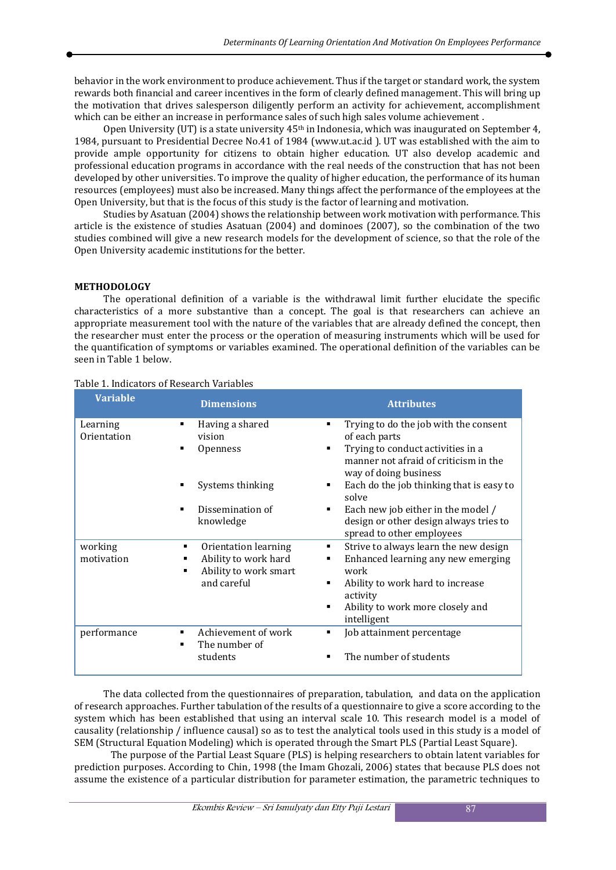behavior in the work environment to produce achievement. Thus if the target or standard work, the system rewards both financial and career incentives in the form of clearly defined management. This will bring up the motivation that drives salesperson diligently perform an activity for achievement, accomplishment which can be either an increase in performance sales of such high sales volume achievement .

Open University (UT) is a state university  $45<sup>th</sup>$  in Indonesia, which was inaugurated on September 4, 1984, pursuant to Presidential Decree No.41 of 1984 (www.ut.ac.id ). UT was established with the aim to provide ample opportunity for citizens to obtain higher education. UT also develop academic and professional education programs in accordance with the real needs of the construction that has not been developed by other universities. To improve the quality of higher education, the performance of its human resources (employees) must also be increased. Many things affect the performance of the employees at the Open University, but that is the focus of this study is the factor of learning and motivation.

Studies by Asatuan (2004) shows the relationship between work motivation with performance. This article is the existence of studies Asatuan (2004) and dominoes (2007), so the combination of the two studies combined will give a new research models for the development of science, so that the role of the Open University academic institutions for the better.

#### **METHODOLOGY**

The operational definition of a variable is the withdrawal limit further elucidate the specific characteristics of a more substantive than a concept. The goal is that researchers can achieve an appropriate measurement tool with the nature of the variables that are already defined the concept, then the researcher must enter the process or the operation of measuring instruments which will be used for the quantification of symptoms or variables examined. The operational definition of the variables can be seen in Table 1 below.

| <b>Variable</b> | <b>Dimensions</b>                                  | <b>Attributes</b>                                                                                   |
|-----------------|----------------------------------------------------|-----------------------------------------------------------------------------------------------------|
| Learning        | Having a shared                                    | Trying to do the job with the consent                                                               |
| Orientation     | vision                                             | of each parts                                                                                       |
|                 | <b>Openness</b>                                    | Trying to conduct activities in a<br>manner not afraid of criticism in the<br>way of doing business |
|                 | Systems thinking                                   | Each do the job thinking that is easy to<br>solve                                                   |
|                 | Dissemination of                                   | Each new job either in the model /<br>٠                                                             |
|                 | knowledge                                          | design or other design always tries to<br>spread to other employees                                 |
| working         | Orientation learning<br>٠                          | Strive to always learn the new design<br>٠                                                          |
| motivation      | Ability to work hard<br>٠<br>Ability to work smart | Enhanced learning any new emerging<br>٠<br>work                                                     |
|                 | and careful                                        | Ability to work hard to increase<br>activity                                                        |
|                 |                                                    | Ability to work more closely and<br>٠<br>intelligent                                                |
|                 |                                                    |                                                                                                     |
| performance     | Achievement of work<br>The number of               | Job attainment percentage<br>٠                                                                      |
|                 | students                                           | The number of students                                                                              |

#### Table 1. Indicators of Research Variables

The data collected from the questionnaires of preparation, tabulation, and data on the application of research approaches. Further tabulation of the results of a questionnaire to give a score according to the system which has been established that using an interval scale 10. This research model is a model of causality (relationship / influence causal) so as to test the analytical tools used in this study is a model of SEM (Structural Equation Modeling) which is operated through the Smart PLS (Partial Least Square).

The purpose of the Partial Least Square (PLS) is helping researchers to obtain latent variables for prediction purposes. According to Chin, 1998 (the Imam Ghozali, 2006) states that because PLS does not assume the existence of a particular distribution for parameter estimation, the parametric techniques to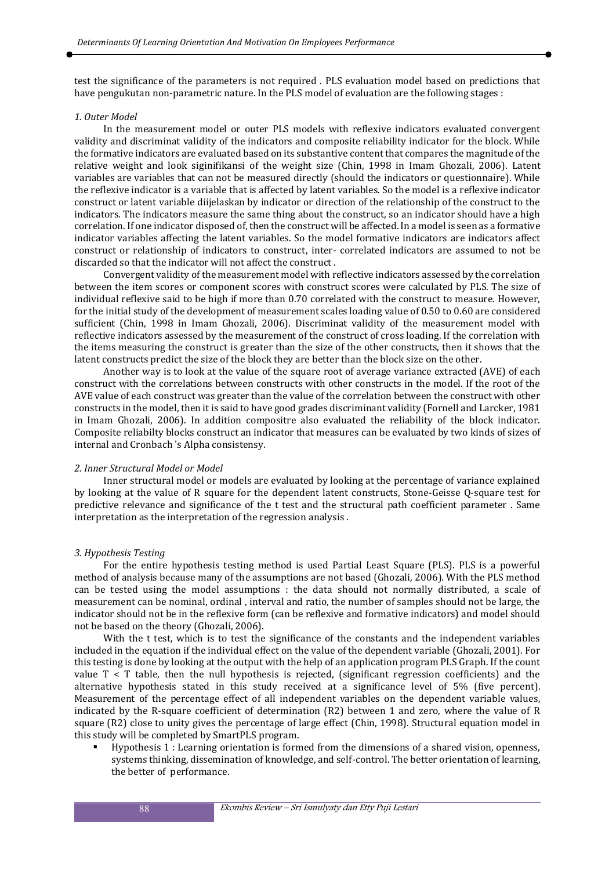test the significance of the parameters is not required . PLS evaluation model based on predictions that have pengukutan non-parametric nature. In the PLS model of evaluation are the following stages :

#### *1. Outer Model*

In the measurement model or outer PLS models with reflexive indicators evaluated convergent validity and discriminat validity of the indicators and composite reliability indicator for the block. While the formative indicators are evaluated based on its substantive content that compares the magnitude of the relative weight and look siginifikansi of the weight size (Chin, 1998 in Imam Ghozali, 2006). Latent variables are variables that can not be measured directly (should the indicators or questionnaire). While the reflexive indicator is a variable that is affected by latent variables. So the model is a reflexive indicator construct or latent variable diijelaskan by indicator or direction of the relationship of the construct to the indicators. The indicators measure the same thing about the construct, so an indicator should have a high correlation. If one indicator disposed of, then the construct will be affected. In a model is seen as a formative indicator variables affecting the latent variables. So the model formative indicators are indicators affect construct or relationship of indicators to construct, inter- correlated indicators are assumed to not be discarded so that the indicator will not affect the construct .

Convergent validity of the measurement model with reflective indicators assessed by the correlation between the item scores or component scores with construct scores were calculated by PLS. The size of individual reflexive said to be high if more than 0.70 correlated with the construct to measure. However, for the initial study of the development of measurement scales loading value of 0.50 to 0.60 are considered sufficient (Chin, 1998 in Imam Ghozali, 2006). Discriminat validity of the measurement model with reflective indicators assessed by the measurement of the construct of cross loading. If the correlation with the items measuring the construct is greater than the size of the other constructs, then it shows that the latent constructs predict the size of the block they are better than the block size on the other.

Another way is to look at the value of the square root of average variance extracted (AVE) of each construct with the correlations between constructs with other constructs in the model. If the root of the AVE value of each construct was greater than the value of the correlation between the construct with other constructs in the model, then it is said to have good grades discriminant validity (Fornell and Larcker, 1981 in Imam Ghozali, 2006). In addition compositre also evaluated the reliability of the block indicator. Composite reliabilty blocks construct an indicator that measures can be evaluated by two kinds of sizes of internal and Cronbach 's Alpha consistensy.

#### *2. Inner Structural Model or Model*

Inner structural model or models are evaluated by looking at the percentage of variance explained by looking at the value of R square for the dependent latent constructs, Stone-Geisse Q-square test for predictive relevance and significance of the t test and the structural path coefficient parameter . Same interpretation as the interpretation of the regression analysis .

#### *3. Hypothesis Testing*

For the entire hypothesis testing method is used Partial Least Square (PLS). PLS is a powerful method of analysis because many of the assumptions are not based (Ghozali, 2006). With the PLS method can be tested using the model assumptions : the data should not normally distributed, a scale of measurement can be nominal, ordinal , interval and ratio, the number of samples should not be large, the indicator should not be in the reflexive form (can be reflexive and formative indicators) and model should not be based on the theory (Ghozali, 2006).

With the t test, which is to test the significance of the constants and the independent variables included in the equation if the individual effect on the value of the dependent variable (Ghozali, 2001). For this testing is done by looking at the output with the help of an application program PLS Graph. If the count value  $T < T$  table, then the null hypothesis is rejected, (significant regression coefficients) and the alternative hypothesis stated in this study received at a significance level of 5% (five percent). Measurement of the percentage effect of all independent variables on the dependent variable values, indicated by the R-square coefficient of determination (R2) between 1 and zero, where the value of R square (R2) close to unity gives the percentage of large effect (Chin, 1998). Structural equation model in this study will be completed by SmartPLS program.

É Hypothesis 1 : Learning orientation is formed from the dimensions of a shared vision, openness, systems thinking, dissemination of knowledge, and self-control. The better orientation of learning, the better of performance.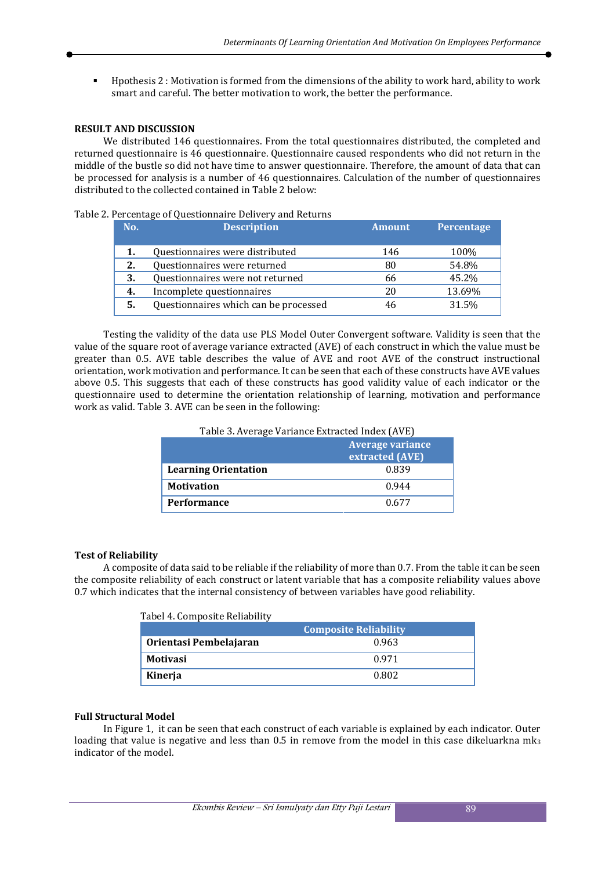É Hpothesis 2 : Motivation is formed from the dimensions of the ability to work hard, ability to work smart and careful. The better motivation to work, the better the performance.

#### **RESULT AND DISCUSSION**

We distributed 146 questionnaires. From the total questionnaires distributed, the completed and returned questionnaire is 46 questionnaire. Questionnaire caused respondents who did not return in the middle of the bustle so did not have time to answer questionnaire. Therefore, the amount of data that can be processed for analysis is a number of 46 questionnaires. Calculation of the number of questionnaires distributed to the collected contained in Table 2 below:

#### Table 2. Percentage of Questionnaire Delivery and Returns

| No. | <b>Description</b>                    | <b>Amount</b> | Percentage |
|-----|---------------------------------------|---------------|------------|
| 1.  | Questionnaires were distributed       | 146           | 100%       |
| 2.  | Questionnaires were returned          | 80            | 54.8%      |
| 3.  | Questionnaires were not returned      | 66            | 45.2%      |
| 4.  | Incomplete questionnaires             | 20            | 13.69%     |
| 5.  | Questionnaires which can be processed | 46            | 31.5%      |

Testing the validity of the data use PLS Model Outer Convergent software. Validity is seen that the value of the square root of average variance extracted (AVE) of each construct in which the value must be greater than 0.5. AVE table describes the value of AVE and root AVE of the construct instructional orientation, work motivation and performance. It can be seen that each of these constructs have AVE values above 0.5. This suggests that each of these constructs has good validity value of each indicator or the questionnaire used to determine the orientation relationship of learning, motivation and performance work as valid. Table 3. AVE can be seen in the following:

| Table 5. Average variance extracted muex (AVE) |                 |  |
|------------------------------------------------|-----------------|--|
| <b>Average variance</b>                        |                 |  |
|                                                | extracted (AVE) |  |
| <b>Learning Orientation</b>                    | 0.839           |  |
| <b>Motivation</b>                              | 0.944           |  |
| Performance                                    | 0.677           |  |

Table 3. Average Variance Extracted Index (AVE)

# **Test of Reliability**

A composite of data said to be reliable if the reliability of more than 0.7. From the table it can be seen the composite reliability of each construct or latent variable that has a composite reliability values above 0.7 which indicates that the internal consistency of between variables have good reliability.

|                        | <b>Composite Reliability</b> |
|------------------------|------------------------------|
| Orientasi Pembelajaran | 0.963                        |
| <b>Motivasi</b>        | 0.971                        |
| Kinerja                | 0.802                        |

#### **Full Structural Model**

In Figure 1, it can be seen that each construct of each variable is explained by each indicator. Outer loading that value is negative and less than  $0.5$  in remove from the model in this case dikeluarkna mk<sub>3</sub> indicator of the model.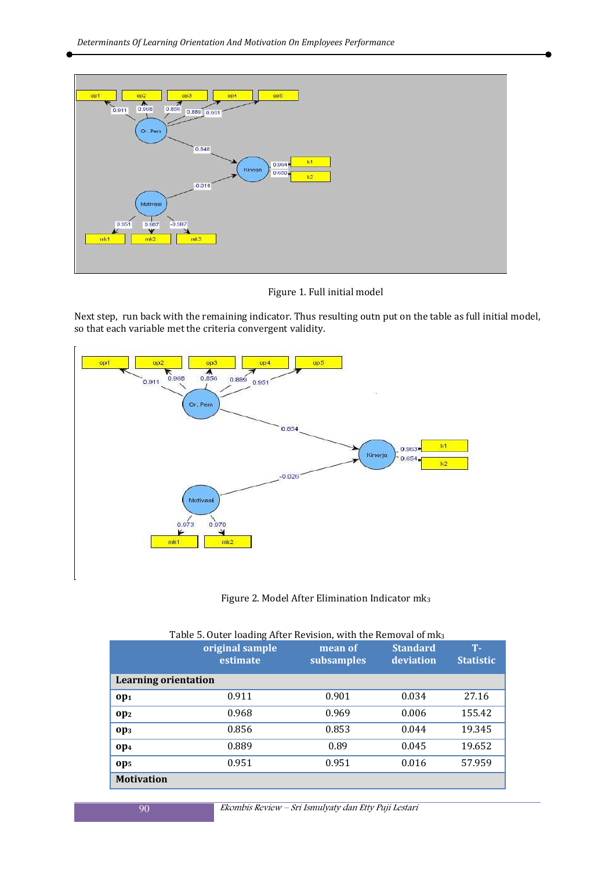

Figure 1. Full initial model

Next step, run back with the remaining indicator. Thus resulting outn put on the table as full initial model, so that each variable met the criteria convergent validity.



## Figure 2. Model After Elimination Indicator mk<sup>3</sup>

|                             | original sample<br>estimate | mean of<br>subsamples | <b>Standard</b><br>deviation | <b>T-</b><br><b>Statistic</b> |
|-----------------------------|-----------------------------|-----------------------|------------------------------|-------------------------------|
| <b>Learning orientation</b> |                             |                       |                              |                               |
| op <sub>1</sub>             | 0.911                       | 0.901                 | 0.034                        | 27.16                         |
| op <sub>2</sub>             | 0.968                       | 0.969                 | 0.006                        | 155.42                        |
| op <sub>3</sub>             | 0.856                       | 0.853                 | 0.044                        | 19.345                        |
| Op <sub>4</sub>             | 0.889                       | 0.89                  | 0.045                        | 19.652                        |
| Op <sub>5</sub>             | 0.951                       | 0.951                 | 0.016                        | 57.959                        |
| <b>Motivation</b>           |                             |                       |                              |                               |

# Table 5. Outer loading After Revision, with the Removal of mk<sub>3</sub>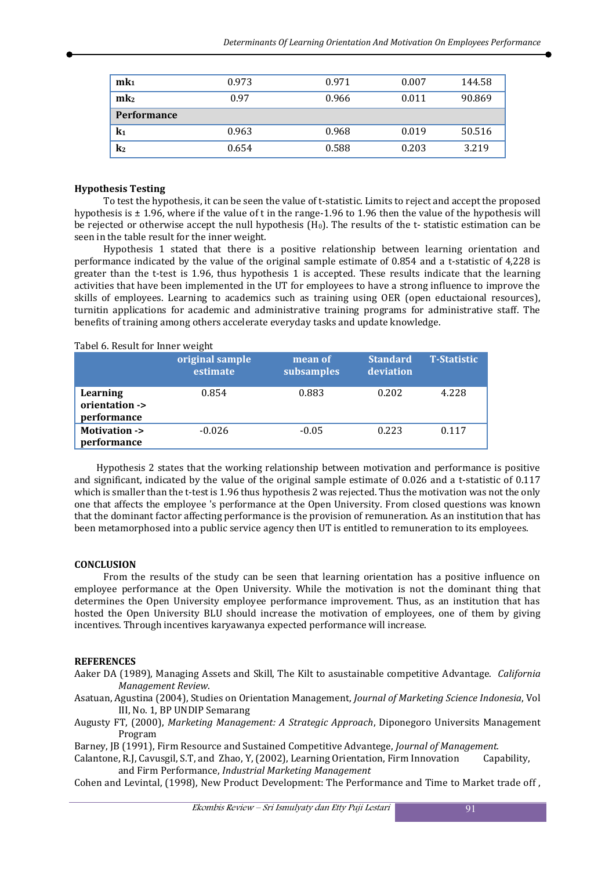| mk <sub>1</sub>    | 0.973 | 0.971 | 0.007 | 144.58 |
|--------------------|-------|-------|-------|--------|
| mk <sub>2</sub>    | 0.97  | 0.966 | 0.011 | 90.869 |
| <b>Performance</b> |       |       |       |        |
| k1                 | 0.963 | 0.968 | 0.019 | 50.516 |
| $\mathbf{k}_2$     | 0.654 | 0.588 | 0.203 | 3.219  |

### **Hypothesis Testing**

To test the hypothesis, it can be seen the value of t-statistic. Limits to reject and accept the proposed hypothesis is ± 1.96, where if the value of t in the range-1.96 to 1.96 then the value of the hypothesis will be rejected or otherwise accept the null hypothesis (H0). The results of the t- statistic estimation can be seen in the table result for the inner weight.

Hypothesis 1 stated that there is a positive relationship between learning orientation and performance indicated by the value of the original sample estimate of 0.854 and a t-statistic of 4,228 is greater than the t-test is 1.96, thus hypothesis 1 is accepted. These results indicate that the learning activities that have been implemented in the UT for employees to have a strong influence to improve the skills of employees. Learning to academics such as training using OER (open eductaional resources), turnitin applications for academic and administrative training programs for administrative staff. The benefits of training among others accelerate everyday tasks and update knowledge.

#### Tabel 6. Result for Inner weight

|                                           | original sample<br>estimate | mean of<br>subsamples | <b>Standard</b><br>deviation | <b>T-Statistic</b> |
|-------------------------------------------|-----------------------------|-----------------------|------------------------------|--------------------|
| Learning<br>orientation -><br>performance | 0.854                       | 0.883                 | 0.202                        | 4.228              |
| <b>Motivation -&gt;</b><br>performance    | $-0.026$                    | $-0.05$               | 0.223                        | 0.117              |

Hypothesis 2 states that the working relationship between motivation and performance is positive and significant, indicated by the value of the original sample estimate of 0.026 and a t-statistic of 0.117 which is smaller than the t-test is 1.96 thus hypothesis 2 was rejected. Thus the motivation was not the only one that affects the employee 's performance at the Open University. From closed questions was known that the dominant factor affecting performance is the provision of remuneration. As an institution that has been metamorphosed into a public service agency then UT is entitled to remuneration to its employees.

#### **CONCLUSION**

From the results of the study can be seen that learning orientation has a positive influence on employee performance at the Open University. While the motivation is not the dominant thing that determines the Open University employee performance improvement. Thus, as an institution that has hosted the Open University BLU should increase the motivation of employees, one of them by giving incentives. Through incentives karyawanya expected performance will increase.

#### **REFERENCES**

Aaker DA (1989), Managing Assets and Skill, The Kilt to asustainable competitive Advantage. *California Management Review*.

Asatuan, Agustina (2004), Studies on Orientation Management, *Journal of Marketing Science Indonesia*, Vol III, No. 1, BP UNDIP Semarang

Augusty FT, (2000), *Marketing Management: A Strategic Approach*, Diponegoro Universits Management Program

Barney, JB (1991), Firm Resource and Sustained Competitive Advantege, *Journal of Management.* 

Calantone, R.J, Cavusgil, S.T, and Zhao, Y, (2002), Learning Orientation, Firm Innovation Capability, and Firm Performance, *Industrial Marketing Management*

Cohen and Levintal, (1998), New Product Development: The Performance and Time to Market trade off ,